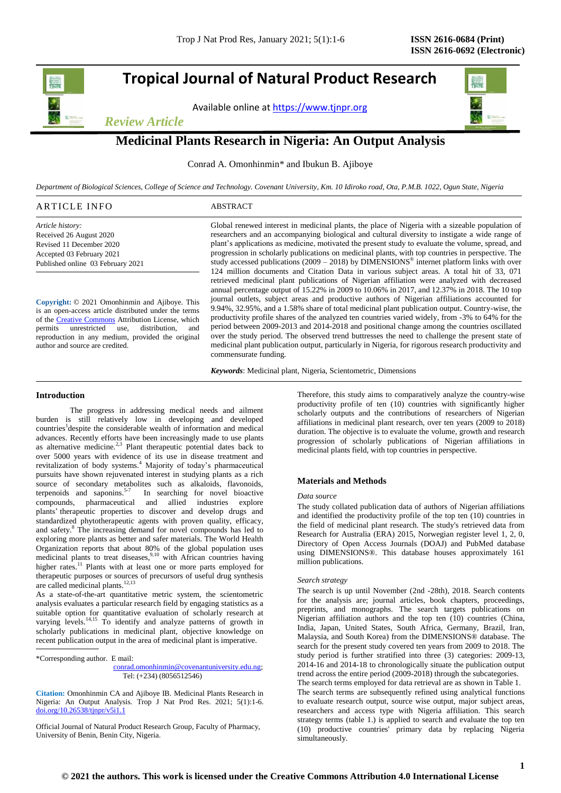## **Tropical Journal of Natural Product Research**

Available online a[t https://www.tjnpr.org](https://www.tjnpr.org/)





### **Medicinal Plants Research in Nigeria: An Output Analysis**

Conrad A. Omonhinmin\* and Ibukun B. Ajiboye

*Department of Biological Sciences, College of Science and Technology. Covenant University, Km. 10 Idiroko road, Ota, P.M.B. 1022, Ogun State, Nigeria*

### ARTICLE INFO ABSTRACT

*Article history:* Received 26 August 2020 Revised 11 December 2020 Accepted 03 February 2021 Published online 03 February 2021

**Copyright:** © 2021 Omonhinmin and Ajiboye. This is an open-access article distributed under the terms of th[e Creative Commons](https://creativecommons.org/licenses/by/4.0/) Attribution License, which permits unrestricted use, distribution, and reproduction in any medium, provided the original author and source are credited.

Global renewed interest in medicinal plants, the place of Nigeria with a sizeable population of researchers and an accompanying biological and cultural diversity to instigate a wide range of plant's applications as medicine, motivated the present study to evaluate the volume, spread, and progression in scholarly publications on medicinal plants, with top countries in perspective. The study accessed publications  $(2009 - 2018)$  by DIMENSIONS<sup>®</sup> internet platform links with over 124 million documents and Citation Data in various subject areas. A total hit of 33, 071 retrieved medicinal plant publications of Nigerian affiliation were analyzed with decreased annual percentage output of 15.22% in 2009 to 10.06% in 2017, and 12.37% in 2018. The 10 top journal outlets, subject areas and productive authors of Nigerian affiliations accounted for 9.94%, 32.95%, and a 1.58% share of total medicinal plant publication output. Country-wise, the productivity profile shares of the analyzed ten countries varied widely, from -3% to 64% for the period between 2009-2013 and 2014-2018 and positional change among the countries oscillated over the study period. The observed trend buttresses the need to challenge the present state of medicinal plant publication output, particularly in Nigeria, for rigorous research productivity and commensurate funding.

*Keywords*: Medicinal plant, Nigeria, Scientometric, Dimensions

### **Introduction**

The progress in addressing medical needs and ailment burden is still relatively low in developing and developed countries<sup>1</sup> despite the considerable wealth of information and medical advances. Recently efforts have been increasingly made to use plants as alternative medicine. $2.3$  Plant therapeutic potential dates back to over 5000 years with evidence of its use in disease treatment and revitalization of body systems.<sup>4</sup> Majority of today's pharmaceutical pursuits have shown rejuvenated interest in studying plants as a rich source of secondary metabolites such as alkaloids, flavonoids, terpenoids and saponins. $5-7$  In searching for novel bioactive compounds, pharmaceutical and allied industries explore plants' therapeutic properties to discover and develop drugs and standardized phytotherapeutic agents with proven quality, efficacy, and safety.<sup>8</sup> The increasing demand for novel compounds has led to exploring more plants as better and safer materials. The World Health Organization reports that about 80% of the global population uses medicinal plants to treat diseases,<sup>9,10</sup> with African countries having higher rates.<sup>11</sup> Plants with at least one or more parts employed for therapeutic purposes or sources of precursors of useful drug synthesis are called medicinal plants.<sup>12,13</sup>

As a state-of-the-art quantitative metric system, the scientometric analysis evaluates a particular research field by engaging statistics as a suitable option for quantitative evaluation of scholarly research at varying levels.<sup>14,15</sup> To identify and analyze patterns of growth in scholarly publications in medicinal plant, objective knowledge on recent publication output in the area of medicinal plant is imperative.

**Citation:** Omonhinmin CA and Ajiboye IB. Medicinal Plants Research in Nigeria: An Output Analysis*.* Trop J Nat Prod Res. 2021; 5(1):1-6. [doi.org/10.26538/tjnpr/v5i1.1](http://www.doi.org/10.26538/tjnpr/v1i4.5)

Official Journal of Natural Product Research Group, Faculty of Pharmacy, University of Benin, Benin City, Nigeria.

Therefore, this study aims to comparatively analyze the country-wise productivity profile of ten (10) countries with significantly higher scholarly outputs and the contributions of researchers of Nigerian affiliations in medicinal plant research, over ten years (2009 to 2018) duration. The objective is to evaluate the volume, growth and research progression of scholarly publications of Nigerian affiliations in medicinal plants field, with top countries in perspective.

### **Materials and Methods**

### *Data source*

The study collated publication data of authors of Nigerian affiliations and identified the productivity profile of the top ten (10) countries in the field of medicinal plant research. The study's retrieved data from Research for Australia (ERA) 2015, Norwegian register level 1, 2, 0, Directory of Open Access Journals (DOAJ) and PubMed database using DIMENSIONS®. This database houses approximately 161 million publications.

### *Search strategy*

The search is up until November (2nd -28th), 2018. Search contents for the analysis are; journal articles, book chapters, proceedings, preprints, and monographs. The search targets publications on Nigerian affiliation authors and the top ten (10) countries (China, India, Japan, United States, South Africa, Germany, Brazil, Iran, Malaysia, and South Korea) from the DIMENSIONS® database. The search for the present study covered ten years from 2009 to 2018. The study period is further stratified into three (3) categories: 2009-13, 2014-16 and 2014-18 to chronologically situate the publication output trend across the entire period (2009-2018) through the subcategories. The search terms employed for data retrieval are as shown in Table 1.

The search terms are subsequently refined using analytical functions to evaluate research output, source wise output, major subject areas, researchers and access type with Nigeria affiliation. This search strategy terms (table 1.) is applied to search and evaluate the top ten (10) productive countries' primary data by replacing Nigeria simultaneously.

<sup>\*</sup>Corresponding author. E mail:

[conrad.omonhinmin@covenantuniversity.edu.ng;](mailto:conrad.omonhinmin@covenantuniversity.edu.ng) Tel: (+234) (8056512546)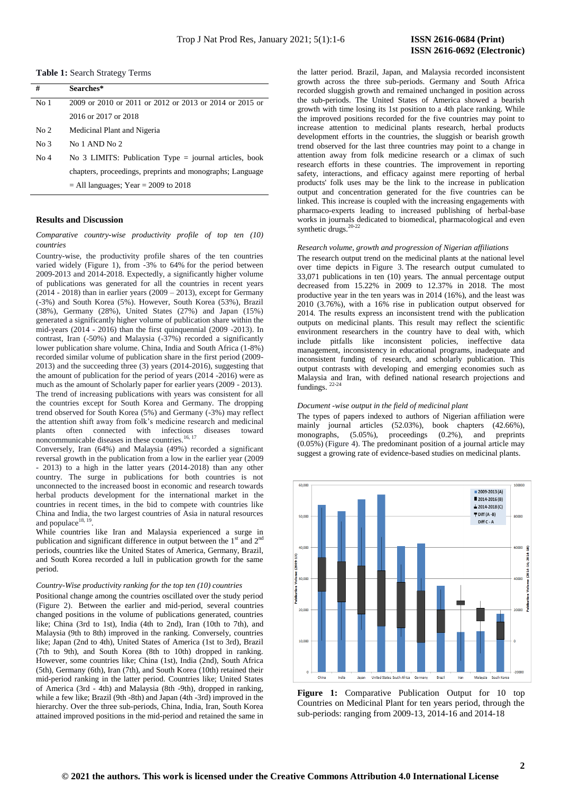**Table 1:** Search Strategy Terms

| #               | Searches*                                                 |
|-----------------|-----------------------------------------------------------|
| No 1            | 2009 or 2010 or 2011 or 2012 or 2013 or 2014 or 2015 or   |
|                 | 2016 or 2017 or 2018                                      |
| No <sub>2</sub> | Medicinal Plant and Nigeria                               |
| No <sub>3</sub> | No 1 AND No 2                                             |
| No <sub>4</sub> | No 3 LIMITS: Publication Type $=$ journal articles, book  |
|                 | chapters, proceedings, preprints and monographs; Language |
|                 | $=$ All languages; Year $=$ 2009 to 2018                  |
|                 |                                                           |

### **Results and** D**iscussion**

*Comparative country-wise productivity profile of top ten (10) countries*

Country-wise, the productivity profile shares of the ten countries varied widely (Figure 1), from -3% to 64% for the period between 2009-2013 and 2014-2018. Expectedly, a significantly higher volume of publications was generated for all the countries in recent years  $(2014 - 2018)$  than in earlier years  $(2009 - 2013)$ , except for Germany (-3%) and South Korea (5%). However, South Korea (53%), Brazil (38%), Germany (28%), United States (27%) and Japan (15%) generated a significantly higher volume of publication share within the mid-years (2014 - 2016) than the first quinquennial (2009 -2013). In contrast, Iran (-50%) and Malaysia (-37%) recorded a significantly lower publication share volume. China, India and South Africa (1-8%) recorded similar volume of publication share in the first period (2009- 2013) and the succeeding three (3) years (2014-2016), suggesting that the amount of publication for the period of years (2014 -2016) were as much as the amount of Scholarly paper for earlier years (2009 - 2013). The trend of increasing publications with years was consistent for all the countries except for South Korea and Germany. The dropping trend observed for South Korea (5%) and Germany (-3%) may reflect the attention shift away from folk's medicine research and medicinal plants often connected with infectious diseases toward noncommunicable diseases in these countries. $16, 17$ 

Conversely, Iran (64%) and Malaysia (49%) recorded a significant reversal growth in the publication from a low in the earlier year (2009 - 2013) to a high in the latter years (2014-2018) than any other country. The surge in publications for both countries is not unconnected to the increased boost in economic and research towards herbal products development for the international market in the countries in recent times, in the bid to compete with countries like China and India, the two largest countries of Asia in natural resources and populace $^{18, 19}$ .

While countries like Iran and Malaysia experienced a surge in publication and significant difference in output between the  $1<sup>st</sup>$  and  $2<sup>nd</sup>$ periods, countries like the United States of America, Germany, Brazil, and South Korea recorded a lull in publication growth for the same period.

### *Country-Wise productivity ranking for the top ten (10) countries*

Positional change among the countries oscillated over the study period (Figure 2). Between the earlier and mid-period, several countries changed positions in the volume of publications generated, countries like; China (3rd to 1st), India (4th to 2nd), Iran (10th to 7th), and Malaysia (9th to 8th) improved in the ranking. Conversely, countries like; Japan (2nd to 4th), United States of America (1st to 3rd), Brazil (7th to 9th), and South Korea (8th to 10th) dropped in ranking. However, some countries like; China (1st), India (2nd), South Africa (5th), Germany (6th), Iran (7th), and South Korea (10th) retained their mid-period ranking in the latter period. Countries like; United States of America (3rd - 4th) and Malaysia (8th -9th), dropped in ranking, while a few like; Brazil (9th -8th) and Japan (4th -3rd) improved in the hierarchy. Over the three sub-periods, China, India, Iran, South Korea attained improved positions in the mid-period and retained the same in the latter period. Brazil, Japan, and Malaysia recorded inconsistent growth across the three sub-periods. Germany and South Africa recorded sluggish growth and remained unchanged in position across the sub-periods. The United States of America showed a bearish growth with time losing its 1st position to a 4th place ranking. While the improved positions recorded for the five countries may point to increase attention to medicinal plants research, herbal products development efforts in the countries, the sluggish or bearish growth trend observed for the last three countries may point to a change in attention away from folk medicine research or a climax of such research efforts in these countries. The improvement in reporting safety, interactions, and efficacy against mere reporting of herbal products' folk uses may be the link to the increase in publication output and concentration generated for the five countries can be linked. This increase is coupled with the increasing engagements with pharmaco-experts leading to increased publishing of herbal-base works in journals dedicated to biomedical, pharmacological and even synthetic drugs.<sup>20-22</sup>

### *Research volume, growth and progression of Nigerian affiliations*

The research output trend on the medicinal plants at the national level over time depicts in Figure 3. The research output cumulated to 33,071 publications in ten (10) years. The annual percentage output decreased from 15.22% in 2009 to 12.37% in 2018. The most productive year in the ten years was in 2014 (16%), and the least was 2010 (3.76%), with a 16% rise in publication output observed for 2014. The results express an inconsistent trend with the publication outputs on medicinal plants. This result may reflect the scientific environment researchers in the country have to deal with, which include pitfalls like inconsistent policies, ineffective data management, inconsistency in educational programs, inadequate and inconsistent funding of research, and scholarly publication. This output contrasts with developing and emerging economies such as Malaysia and Iran, with defined national research projections and fundings.  $22-24$ 

### *Document -wise output in the field of medicinal plant*

The types of papers indexed to authors of Nigerian affiliation were mainly journal articles (52.03%), book chapters (42.66%), monographs, (5.05%), proceedings (0.2%), and preprints (0.05%) (Figure 4). The predominant position of a journal article may suggest a growing rate of evidence-based studies on medicinal plants.



**Figure 1:** Comparative Publication Output for 10 top Countries on Medicinal Plant for ten years period, through the sub-periods: ranging from 2009-13, 2014-16 and 2014-18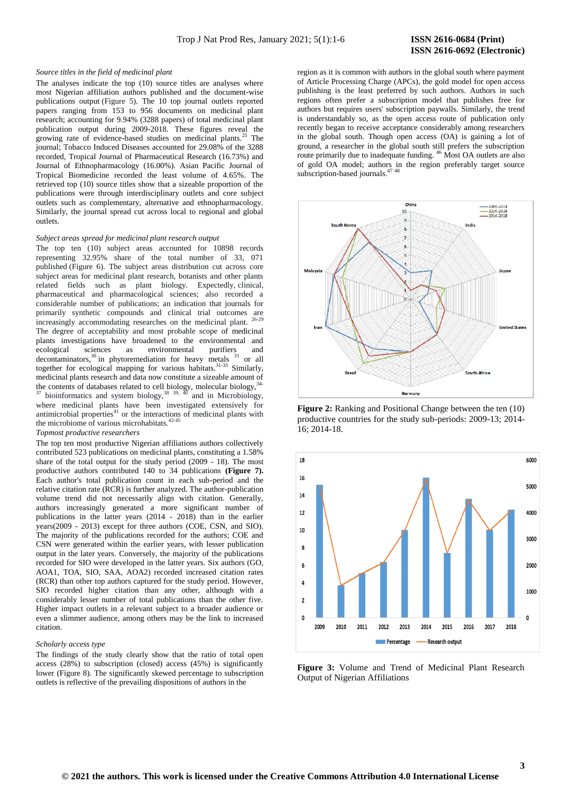# **ISSN 2616-0692 (Electronic)**

#### *Source titles in the field of medicinal plant*

The analyses indicate the top (10) source titles are analyses where most Nigerian affiliation authors published and the document-wise publications output (Figure 5). The 10 top journal outlets reported papers ranging from 153 to 956 documents on medicinal plant research; accounting for 9.94% (3288 papers) of total medicinal plant publication output during 2009-2018. These figures reveal the growing rate of evidence-based studies on medicinal plants.<sup>25</sup> The journal; Tobacco Induced Diseases accounted for 29.08% of the 3288 recorded, Tropical Journal of Pharmaceutical Research (16.73%) and Journal of Ethnopharmacology (16.00%). Asian Pacific Journal of Tropical Biomedicine recorded the least volume of 4.65%. The retrieved top (10) source titles show that a sizeable proportion of the publications were through interdisciplinary outlets and core subject outlets such as complementary, alternative and ethnopharmacology. Similarly, the journal spread cut across local to regional and global outlets.

### *Subject areas spread for medicinal plant research output*

The top ten (10) subject areas accounted for 10898 records representing 32.95% share of the total number of 33, 071 published (Figure 6). The subject areas distribution cut across core subject areas for medicinal plant research, botanists and other plants related fields such as plant biology. Expectedly, clinical, pharmaceutical and pharmacological sciences; also recorded a considerable number of publications; an indication that journals for primarily synthetic compounds and clinical trial outcomes are<br> $\frac{1}{26-29}$ increasingly accommodating researches on the medicinal plant. The degree of acceptability and most probable scope of medicinal plants investigations have broadened to the environmental and ecological sciences as environmental purifiers and  $decontaminators$ ,<sup>30</sup> in phytoremediation for heavy metals  $31$  or all together for ecological mapping for various habitats.<sup>31-33</sup> Similarly, medicinal plants research and data now constitute a sizeable amount of the contents of databases related to cell biology, molecular biology, 34- $37$  bioinformatics and system biology,  $38^{39}$ ,  $40^{39}$  and in Microbiology, where medicinal plants have been investigated extensively for antimicrobial properties<sup>41</sup> or the interactions of medicinal plants with the microbiome of various microhabitats. $42-45$ 

### *Topmost productive researchers*

The top ten most productive Nigerian affiliations authors collectively contributed 523 publications on medicinal plants, constituting a 1.58% share of the total output for the study period (2009 - 18). The most productive authors contributed 140 to 34 publications **(Figure 7).**  Each author's total publication count in each sub-period and the relative citation rate (RCR) is further analyzed. The author-publication volume trend did not necessarily align with citation. Generally, authors increasingly generated a more significant number of publications in the latter years (2014 - 2018) than in the earlier years(2009 - 2013) except for three authors (COE, CSN, and SIO). The majority of the publications recorded for the authors; COE and CSN were generated within the earlier years, with lesser publication output in the later years. Conversely, the majority of the publications recorded for SIO were developed in the latter years. Six authors (GO, AOA1, TOA, SIO, SAA, AOA2) recorded increased citation rates (RCR) than other top authors captured for the study period. However, SIO recorded higher citation than any other, although with a considerably lesser number of total publications than the other five. Higher impact outlets in a relevant subject to a broader audience or even a slimmer audience, among others may be the link to increased citation.

### *Scholarly access type*

The findings of the study clearly show that the ratio of total open access (28%) to subscription (closed) access (45%) is significantly lower (Figure 8). The significantly skewed percentage to subscription outlets is reflective of the prevailing dispositions of authors in the

region as it is common with authors in the global south where payment of Article Processing Charge (APCs), the gold model for open access publishing is the least preferred by such authors. Authors in such regions often prefer a subscription model that publishes free for authors but requires users' subscription paywalls. Similarly, the trend is understandably so, as the open access route of publication only recently began to receive acceptance considerably among researchers in the global south. Though open access (OA) is gaining a lot of ground, a researcher in the global south still prefers the subscription route primarily due to inadequate funding. <sup>46</sup> Most OA outlets are also of gold OA model; authors in the region preferably target source subscription-based journals.



**Figure 2:** Ranking and Positional Change between the ten  $(10)$ productive countries for the study sub-periods: 2009-13; 2014- 16; 2014-18.



**Figure 3:** Volume and Trend of Medicinal Plant Research Output of Nigerian Affiliations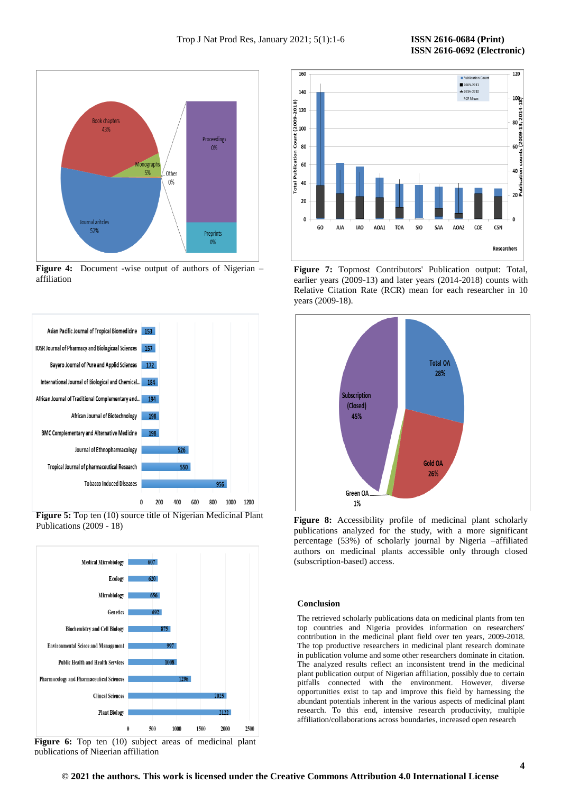

**Figure 4:** Document -wise output of authors of Nigerian – affiliation



**Figure 5:** Top ten (10) source title of Nigerian Medicinal Plant Publications (2009 - 18)



Figure 6: Top ten (10) subject areas of medicinal plant publications of Nigerian affiliation



**Figure 7:** Topmost Contributors' Publication output: Total, earlier years (2009-13) and later years (2014-2018) counts with Relative Citation Rate (RCR) mean for each researcher in 10 years (2009-18).



**Figure 8:** Accessibility profile of medicinal plant scholarly publications analyzed for the study, with a more significant percentage (53%) of scholarly journal by Nigeria –affiliated authors on medicinal plants accessible only through closed (subscription-based) access.

### **Conclusion**

The retrieved scholarly publications data on medicinal plants from ten top countries and Nigeria provides information on researchers' contribution in the medicinal plant field over ten years, 2009-2018. The top productive researchers in medicinal plant research dominate in publication volume and some other researchers dominate in citation. The analyzed results reflect an inconsistent trend in the medicinal plant publication output of Nigerian affiliation, possibly due to certain pitfalls connected with the environment. However, diverse opportunities exist to tap and improve this field by harnessing the abundant potentials inherent in the various aspects of medicinal plant research. To this end, intensive research productivity, multiple affiliation/collaborations across boundaries, increased open research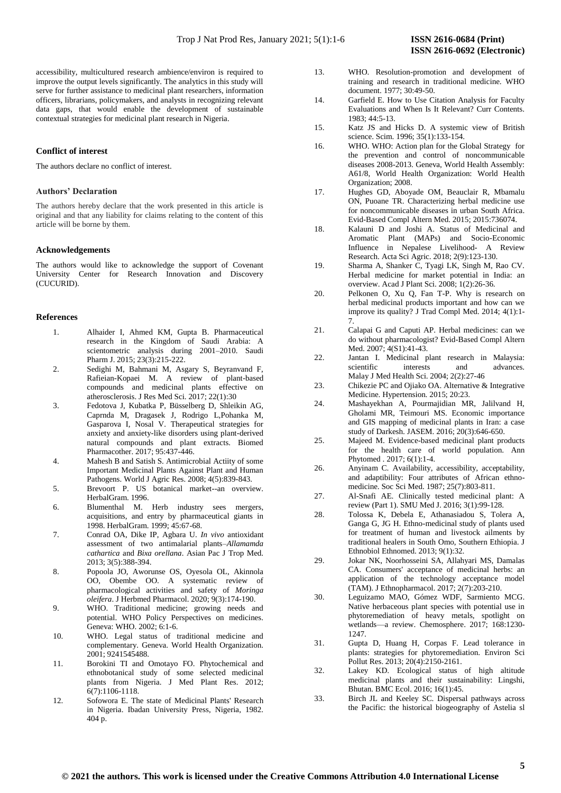accessibility, multicultured research ambience/environ is required to improve the output levels significantly. The analytics in this study will serve for further assistance to medicinal plant researchers, information officers, librarians, policymakers, and analysts in recognizing relevant data gaps, that would enable the development of sustainable contextual strategies for medicinal plant research in Nigeria.

### **Conflict of interest**

The authors declare no conflict of interest.

### **Authors' Declaration**

The authors hereby declare that the work presented in this article is original and that any liability for claims relating to the content of this article will be borne by them.

### **Acknowledgements**

The authors would like to acknowledge the support of Covenant University Center for Research Innovation and Discovery (CUCURID).

### **References**

- 1. Alhaider I, Ahmed KM, Gupta B. Pharmaceutical research in the Kingdom of Saudi Arabia: A scientometric analysis during 2001–2010. Saudi Pharm J. 2015; 23(3):215-222.
- 2. Sedighi M, Bahmani M, Asgary S, Beyranvand F, Rafieian-Kopaei M. A review of plant-based compounds and medicinal plants effective on atherosclerosis. J Res Med Sci. 2017; 22(1):30
- 3. Fedotova J, Kubatka P, Büsselberg D, Shleikin AG, Caprnda M, Dragasek J, Rodrigo L,Pohanka M, Gasparova I, Nosal V. Therapeutical strategies for anxiety and anxiety-like disorders using plant-derived natural compounds and plant extracts. Biomed Pharmacother. 2017; 95:437-446.
- 4. Mahesh B and Satish S. Antimicrobial Actiity of some Important Medicinal Plants Against Plant and Human Pathogens. World J Agric Res. 2008; 4(5):839-843.
- 5. Brevoort P. US botanical market--an overview. HerbalGram. 1996.
- 6. Blumenthal M. Herb industry sees mergers, acquisitions, and entry by pharmaceutical giants in 1998. HerbalGram. 1999; 45:67-68.
- 7. Conrad OA, Dike IP, Agbara U. *In vivo* antioxidant assessment of two antimalarial plants–*Allamamda cathartica* and *Bixa orellana*. Asian Pac J Trop Med. 2013; 3(5):388-394.
- 8. Popoola JO, Aworunse OS, Oyesola OL, Akinnola OO, Obembe OO. A systematic review of pharmacological activities and safety of *Moringa oleifera*. J Herbmed Pharmacol. 2020; 9(3):174-190.
- 9. WHO. Traditional medicine; growing needs and potential. WHO Policy Perspectives on medicines. Geneva: WHO. 2002; 6:1-6.
- 10. WHO. Legal status of traditional medicine and complementary. Geneva. World Health Organization. 2001; 9241545488.
- 11. Borokini TI and Omotayo FO. Phytochemical and ethnobotanical study of some selected medicinal plants from Nigeria. J Med Plant Res. 2012; 6(7):1106-1118.
- 12. Sofowora E. The state of Medicinal Plants' Research in Nigeria. Ibadan University Press, Nigeria, 1982. 404 p.
- 13. WHO. Resolution-promotion and development of training and research in traditional medicine. WHO document. 1977; 30:49-50.
- 14. Garfield E. How to Use Citation Analysis for Faculty Evaluations and When Is It Relevant? Curr Contents. 1983; 44:5-13.
- 15. Katz JS and Hicks D. A systemic view of British science. Scim. 1996; 35(1):133-154.
- 16. WHO. WHO: Action plan for the Global Strategy for the prevention and control of noncommunicable diseases 2008-2013. Geneva, World Health Assembly: A61/8, World Health Organization: World Health Organization; 2008.
- 17. Hughes GD, Aboyade OM, Beauclair R, Mbamalu ON, Puoane TR. Characterizing herbal medicine use for noncommunicable diseases in urban South Africa. Evid-Based Compl Altern Med. 2015; 2015:736074.
- 18. Kalauni D and Joshi A. Status of Medicinal and Aromatic Plant (MAPs) and Socio-Economic Influence in Nepalese Livelihood- A Review Research. Acta Sci Agric. 2018; 2(9):123-130.
- 19. Sharma A, Shanker C, Tyagi LK, Singh M, Rao CV. Herbal medicine for market potential in India: an overview. Acad J Plant Sci. 2008; 1(2):26-36.
- 20. Pelkonen O, Xu Q, Fan T-P. Why is research on herbal medicinal products important and how can we improve its quality? J Trad Compl Med. 2014; 4(1):1- 7.
- 21. Calapai G and Caputi AP. Herbal medicines: can we do without pharmacologist? Evid-Based Compl Altern Med. 2007; 4(S1):41-43.
- 22. Jantan I. Medicinal plant research in Malaysia: scientific interests and advances. Malay J Med Health Sci. 2004; 2(2):27-46
- 23. Chikezie PC and Ojiako OA. Alternative & Integrative Medicine. Hypertension. 2015; 20:23.
- 24. Mashayekhan A, Pourmajidian MR, Jalilvand H, Gholami MR, Teimouri MS. Economic importance and GIS mapping of medicinal plants in Iran: a case study of Darkesh. JASEM. 2016; 20(3):646-650.
- 25. Majeed M. Evidence-based medicinal plant products for the health care of world population. Ann Phytomed . 2017; 6(1):1-4.
- 26. Anyinam C. Availability, accessibility, acceptability, and adaptibility: Four attributes of African ethnomedicine. Soc Sci Med. 1987; 25(7):803-811.
- 27. Al-Snafi AE. Clinically tested medicinal plant: A review (Part 1). SMU Med J. 2016; 3(1):99-128.
- 28. Tolossa K, Debela E, Athanasiadou S, Tolera A, Ganga G, JG H. Ethno-medicinal study of plants used for treatment of human and livestock ailments by traditional healers in South Omo, Southern Ethiopia. J Ethnobiol Ethnomed. 2013; 9(1):32.
- 29. Jokar NK, Noorhosseini SA, Allahyari MS, Damalas CA. Consumers' acceptance of medicinal herbs: an application of the technology acceptance model (TAM). J Ethnopharmacol. 2017; 2(7):203-210.
- 30. Leguizamo MAO, Gómez WDF, Sarmiento MCG. Native herbaceous plant species with potential use in phytoremediation of heavy metals, spotlight on wetlands—a review. Chemosphere. 2017; 168:1230- 1247.
- 31. Gupta D, Huang H, Corpas F. Lead tolerance in plants: strategies for phytoremediation. Environ Sci Pollut Res. 2013; 20(4):2150-2161.
- 32. Lakey KD. Ecological status of high altitude medicinal plants and their sustainability: Lingshi, Bhutan. BMC Ecol. 2016; 16(1):45.
- 33. Birch JL and Keeley SC. Dispersal pathways across the Pacific: the historical biogeography of Astelia sl